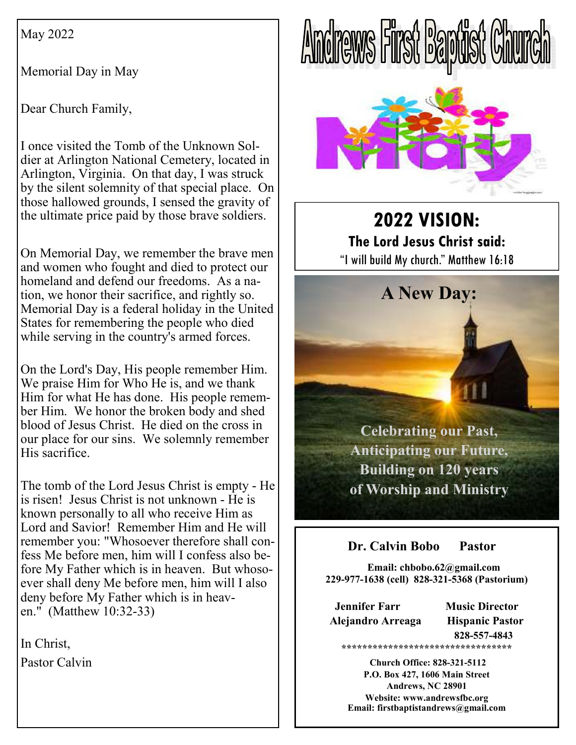May 2022

Memorial Day in May

Dear Church Family,

I once visited the Tomb of the Unknown Soldier at Arlington National Cemetery, located in Arlington, Virginia. On that day, I was struck by the silent solemnity of that special place. On those hallowed grounds, I sensed the gravity of the ultimate price paid by those brave soldiers.

On Memorial Day, we remember the brave men and women who fought and died to protect our homeland and defend our freedoms. As a nation, we honor their sacrifice, and rightly so. Memorial Day is a federal holiday in the United States for remembering the people who died while serving in the country's armed forces.

On the Lord's Day, His people remember Him. We praise Him for Who He is, and we thank Him for what He has done. His people remember Him. We honor the broken body and shed blood of Jesus Christ. He died on the cross in our place for our sins. We solemnly remember His sacrifice.

The tomb of the Lord Jesus Christ is empty - He is risen! Jesus Christ is not unknown - He is known personally to all who receive Him as Lord and Savior! Remember Him and He will remember you: "Whosoever therefore shall confess Me before men, him will I confess also before My Father which is in heaven. But whosoever shall deny Me before men, him will I also deny before My Father which is in heaven." (Matthew 10:32-33)

In Christ, Pastor Calvin





**2022 VISION: The Lord Jesus Christ said:**  "I will build My church." Matthew 16:18

**A New Day:** 



# **Dr. Calvin Bobo Pastor**

 **Email: chbobo.62@gmail.com 229-977-1638 (cell) 828-321-5368 (Pastorium)**

**Jennifer Farr Music Director Alejandro Arreaga Hispanic Pastor** 

 **828-557-4843 \*\*\*\*\*\*\*\*\*\*\*\*\*\*\*\*\*\*\*\*\*\*\*\*\*\*\*\*\*\*\*\*\*** 

 **Church Office: 828-321-5112 P.O. Box 427, 1606 Main Street Andrews, NC 28901 Website: www.andrewsfbc.org Email: firstbaptistandrews@gmail.com**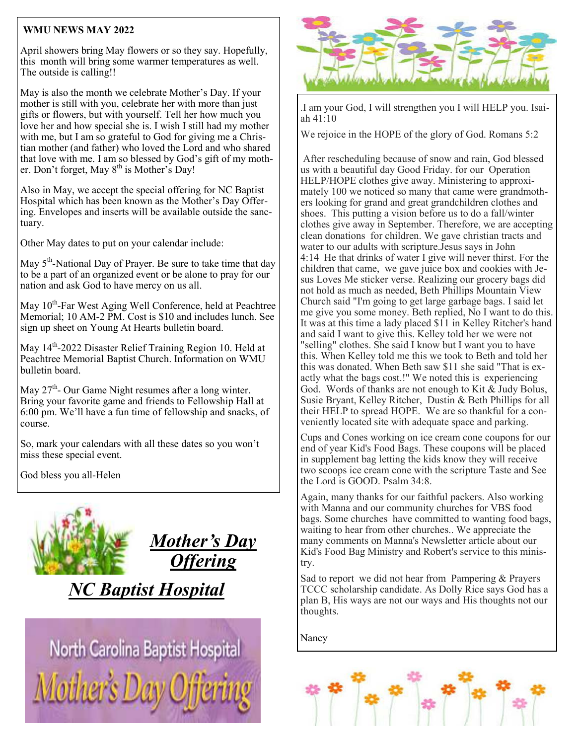## **WMU NEWS MAY 2022**

April showers bring May flowers or so they say. Hopefully, this month will bring some warmer temperatures as well. The outside is calling!!

May is also the month we celebrate Mother's Day. If your mother is still with you, celebrate her with more than just gifts or flowers, but with yourself. Tell her how much you love her and how special she is. I wish I still had my mother with me, but I am so grateful to God for giving me a Christian mother (and father) who loved the Lord and who shared that love with me. I am so blessed by God's gift of my mother. Don't forget, May  $8<sup>th</sup>$  is Mother's Day!

Also in May, we accept the special offering for NC Baptist Hospital which has been known as the Mother's Day Offering. Envelopes and inserts will be available outside the sanctuary.

Other May dates to put on your calendar include:

May  $5<sup>th</sup>$ -National Day of Prayer. Be sure to take time that day to be a part of an organized event or be alone to pray for our nation and ask God to have mercy on us all.

May 10<sup>th</sup>-Far West Aging Well Conference, held at Peachtree Memorial; 10 AM-2 PM. Cost is \$10 and includes lunch. See sign up sheet on Young At Hearts bulletin board.

May 14<sup>th</sup>-2022 Disaster Relief Training Region 10. Held at Peachtree Memorial Baptist Church. Information on WMU bulletin board.

May  $27<sup>th</sup>$ - Our Game Night resumes after a long winter. Bring your favorite game and friends to Fellowship Hall at 6:00 pm. We'll have a fun time of fellowship and snacks, of course.

So, mark your calendars with all these dates so you won't miss these special event.

God bless you all-Helen



*NC Baptist Hospital* 

North Carolina Baptist Hospital **Mother's** 



.I am your God, I will strengthen you I will HELP you. Isaiah 41:10

We rejoice in the HOPE of the glory of God. Romans 5:2

 After rescheduling because of snow and rain, God blessed us with a beautiful day Good Friday. for our Operation HELP/HOPE clothes give away. Ministering to approximately 100 we noticed so many that came were grandmothers looking for grand and great grandchildren clothes and shoes. This putting a vision before us to do a fall/winter clothes give away in September. Therefore, we are accepting clean donations for children. We gave christian tracts and water to our adults with scripture.Jesus says in John 4:14 He that drinks of water I give will never thirst. For the children that came, we gave juice box and cookies with Jesus Loves Me sticker verse. Realizing our grocery bags did not hold as much as needed, Beth Phillips Mountain View Church said "I'm going to get large garbage bags. I said let me give you some money. Beth replied, No I want to do this. It was at this time a lady placed \$11 in Kelley Ritcher's hand and said I want to give this. Kelley told her we were not "selling" clothes. She said I know but I want you to have this. When Kelley told me this we took to Beth and told her this was donated. When Beth saw \$11 she said "That is exactly what the bags cost.!" We noted this is experiencing God. Words of thanks are not enough to Kit  $\&$  Judy Bolus, Susie Bryant, Kelley Ritcher, Dustin & Beth Phillips for all their HELP to spread HOPE. We are so thankful for a conveniently located site with adequate space and parking.

Cups and Cones working on ice cream cone coupons for our end of year Kid's Food Bags. These coupons will be placed in supplement bag letting the kids know they will receive two scoops ice cream cone with the scripture Taste and See the Lord is GOOD. Psalm 34:8.

Again, many thanks for our faithful packers. Also working with Manna and our community churches for VBS food bags. Some churches have committed to wanting food bags, waiting to hear from other churches.. We appreciate the many comments on Manna's Newsletter article about our Kid's Food Bag Ministry and Robert's service to this ministry.

Sad to report we did not hear from Pampering & Prayers TCCC scholarship candidate. As Dolly Rice says God has a plan B, His ways are not our ways and His thoughts not our thoughts.

Nancy

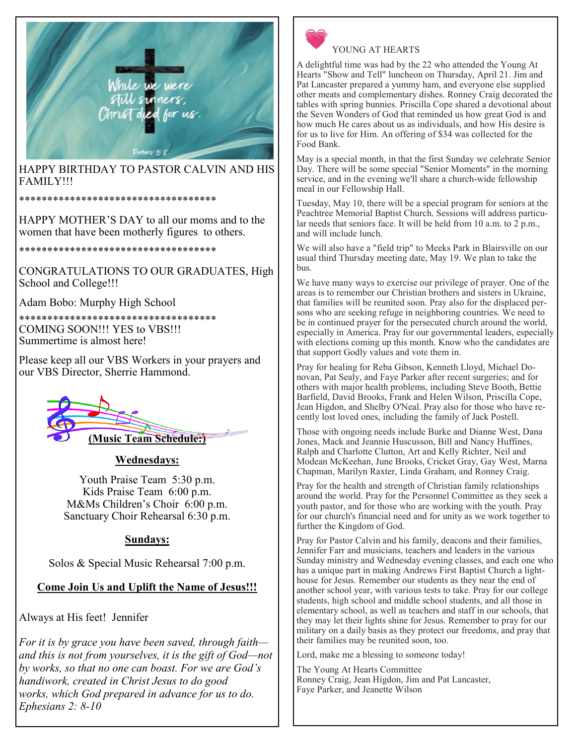

HAPPY BIRTHDAY TO PASTOR CALVIN AND HIS FAMILY!!!

\*\*\*\*\*\*\*\*\*\*\*\*\*\*\*\*\*\*\*\*\*\*\*\*\*\*\*\*\*\*\*\*\*\*\*

HAPPY MOTHER'S DAY to all our moms and to the women that have been motherly figures to others.

\*\*\*\*\*\*\*\*\*\*\*\*\*\*\*\*\*\*\*\*\*\*\*\*\*\*\*\*\*\*\*\*\*\*\*

CONGRATULATIONS TO OUR GRADUATES, High School and College!!!

Adam Bobo: Murphy High School

\*\*\*\*\*\*\*\*\*\*\*\*\*\*\*\*\*\*\*\*\*\*\*\*\*\*\*\*\*\*\*\*\*\*\* COMING SOON!!! YES to VBS!!! Summertime is almost here!

Please keep all our VBS Workers in your prayers and our VBS Director, Sherrie Hammond.



### **Wednesdays:**

Youth Praise Team 5:30 p.m. Kids Praise Team 6:00 p.m. M&Ms Children's Choir 6:00 p.m. Sanctuary Choir Rehearsal 6:30 p.m.

### **Sundays:**

Solos & Special Music Rehearsal 7:00 p.m.

**Come Join Us and Uplift the Name of Jesus!!!** 

Always at His feet! Jennifer

*For it is by grace you have been saved, through faith and this is not from yourselves, it is the gift of God—not by works, so that no one can boast. For we are God's handiwork, created in Christ Jesus to do good works, which God prepared in advance for us to do. Ephesians 2: 8-10* 



## YOUNG AT HEARTS

A delightful time was had by the 22 who attended the Young At Hearts "Show and Tell" luncheon on Thursday, April 21. Jim and Pat Lancaster prepared a yummy ham, and everyone else supplied other meats and complementary dishes. Ronney Craig decorated the tables with spring bunnies. Priscilla Cope shared a devotional about the Seven Wonders of God that reminded us how great God is and how much He cares about us as individuals, and how His desire is for us to live for Him. An offering of \$34 was collected for the Food Bank.

May is a special month, in that the first Sunday we celebrate Senior Day. There will be some special "Senior Moments" in the morning service, and in the evening we'll share a church-wide fellowship meal in our Fellowship Hall.

Tuesday, May 10, there will be a special program for seniors at the Peachtree Memorial Baptist Church. Sessions will address particular needs that seniors face. It will be held from 10 a.m. to  $2$  p.m., and will include lunch.

We will also have a "field trip" to Meeks Park in Blairsville on our usual third Thursday meeting date, May 19. We plan to take the bus.

We have many ways to exercise our privilege of prayer. One of the areas is to remember our Christian brothers and sisters in Ukraine, that families will be reunited soon. Pray also for the displaced persons who are seeking refuge in neighboring countries. We need to be in continued prayer for the persecuted church around the world, especially in America. Pray for our governmental leaders, especially with elections coming up this month. Know who the candidates are that support Godly values and vote them in.

Pray for healing for Reba Gibson, Kenneth Lloyd, Michael Donovan, Pat Sealy, and Faye Parker after recent surgeries; and for others with major health problems, including Steve Booth, Bettie Barfield, David Brooks, Frank and Helen Wilson, Priscilla Cope, Jean Higdon, and Shelby O'Neal. Pray also for those who have recently lost loved ones, including the family of Jack Postell.

Those with ongoing needs include Burke and Dianne West, Dana Jones, Mack and Jeannie Huscusson, Bill and Nancy Huffines, Ralph and Charlotte Clutton, Art and Kelly Richter, Neil and Modean McKeehan, June Brooks, Cricket Gray, Gay West, Marna Chapman, Marilyn Raxter, Linda Graham, and Ronney Craig.

Pray for the health and strength of Christian family relationships around the world. Pray for the Personnel Committee as they seek a youth pastor, and for those who are working with the youth. Pray for our church's financial need and for unity as we work together to further the Kingdom of God.

Pray for Pastor Calvin and his family, deacons and their families, Jennifer Farr and musicians, teachers and leaders in the various Sunday ministry and Wednesday evening classes, and each one who has a unique part in making Andrews First Baptist Church a lighthouse for Jesus. Remember our students as they near the end of another school year, with various tests to take. Pray for our college students, high school and middle school students, and all those in elementary school, as well as teachers and staff in our schools, that they may let their lights shine for Jesus. Remember to pray for our military on a daily basis as they protect our freedoms, and pray that their families may be reunited soon, too.

Lord, make me a blessing to someone today!

The Young At Hearts Committee Ronney Craig, Jean Higdon, Jim and Pat Lancaster, Faye Parker, and Jeanette Wilson